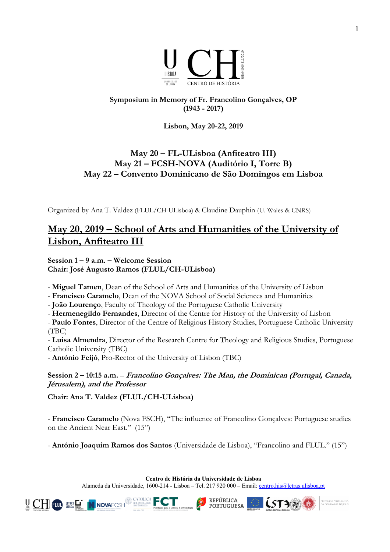

## **Symposium in Memory of Fr. Francolino Gonçalves, OP (1943 - 2017)**

**Lisbon, May 20-22, 2019**

## **May 20 – FL-ULisboa (Anfiteatro III) May 21 – FCSH-NOVA (Auditório I, Torre B) May 22 – Convento Dominicano de São Domingos em Lisboa**

Organized by Ana T. Valdez (FLUL/CH-ULisboa) & Claudine Dauphin (U. Wales & CNRS)

# **May 20, 2019 – School of Arts and Humanities of the University of Lisbon, Anfiteatro III**

**Session 1 – 9 a.m. – Welcome Session Chair: José Augusto Ramos (FLUL/CH-ULisboa)**

- **Miguel Tamen**, Dean of the School of Arts and Humanities of the University of Lisbon

- **Francisco Caramelo**, Dean of the NOVA School of Social Sciences and Humanities

- **João Lourenço**, Faculty of Theology of the Portuguese Catholic University

- **Hermenegildo Fernandes**, Director of the Centre for History of the University of Lisbon

- **Paulo Fontes**, Director of the Centre of Religious History Studies, Portuguese Catholic University (TBC)

- **Luisa Almendra**, Director of the Research Centre for Theology and Religious Studies, Portuguese Catholic University (TBC)

- **António Feijó**, Pro-Rector of the University of Lisbon (TBC)

## **Session 2 – 10:15 a.m.** – **Francolino Gonçalves: The Man, the Dominican (Portugal, Canada, Jérusalem), and the Professor**

**Chair: Ana T. Valdez (FLUL/CH-ULisboa)**

- **Francisco Caramelo** (Nova FSCH), "The influence of Francolino Gonçalves: Portuguese studies on the Ancient Near East.'' (15")

- **António Joaquim Ramos dos Santos** (Universidade de Lisboa), "Francolino and FLUL.'' (15")

**Centro de História da Universidade de Lisboa**

Alameda da Universidade, 1600-214 - Lisboa – Tel. 217 920 000 – Email: centro.his@letras.ulisboa.pt

**REPÚBLICA** 

**PORTUGUESA** 



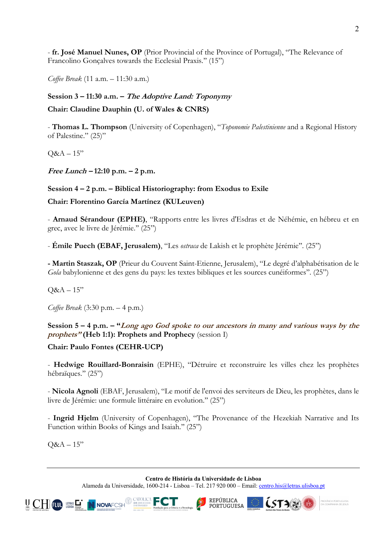- **fr. José Manuel Nunes, OP** (Prior Provincial of the Province of Portugal), "The Relevance of Francolino Gonçalves towards the Ecclesial Praxis.'' (15")

*Coffee Break* (11 a.m. – 11:30 a.m.)

#### **Session 3 – 11:30 a.m. – The Adoptive Land: Toponymy**

#### **Chair: Claudine Dauphin (U. of Wales & CNRS)**

- **Thomas L. Thompson** (University of Copenhagen), "*Toponomie Palestinienne* and a Regional History of Palestine." (25)"

 $Q&A-15"$ 

**Free Lunch – 12:10 p.m. – 2 p.m.**

#### **Session 4 – 2 p.m. – Biblical Historiography: from Exodus to Exile**

**Chair: Florentino García Martínez (KULeuven)**

- **Arnaud Sérandour (EPHE)**, "Rapports entre les livres d'Esdras et de Néhémie, en hébreu et en grec, avec le livre de Jérémie.'' (25")

- **Émile Puech (EBAF, Jerusalem)**, "Les *ostraca* de Lakish et le prophète Jérémie''. (25")

**- Martin Staszak, OP** (Prieur du Couvent Saint-Etienne, Jerusalem), "Le degré d'alphabétisation de le *Gola* babylonienne et des gens du pays: les textes bibliques et les sources cunéiformes''. (25")

 $Q&A-15"$ 

*Coffee Break* (3:30 p.m. – 4 p.m.)

### **Session 5 – 4 p.m. – "Long ago God spoke to our ancestors in many and various ways by the prophets" (Heb 1:1): Prophets and Prophecy** (session I)

**Chair: Paulo Fontes (CEHR-UCP)**

- **Hedwige Rouillard-Bonraisin** (EPHE), "Détruire et reconstruire les villes chez les prophètes hébraïques." (25")

- **Nicola Agnoli** (EBAF, Jerusalem), "Le motif de l'envoi des serviteurs de Dieu, les prophètes, dans le livre de Jérémie: une formule littéraire en evolution.'' (25")

- **Ingrid Hjelm** (University of Copenhagen), "The Provenance of the Hezekiah Narrative and Its Function within Books of Kings and Isaiah.'' (25")

 $Q&A-15"$ 

**Centro de História da Universidade de Lisboa**

Alameda da Universidade, 1600-214 - Lisboa – Tel. 217 920 000 – Email: centro.his@letras.ulisboa.pt





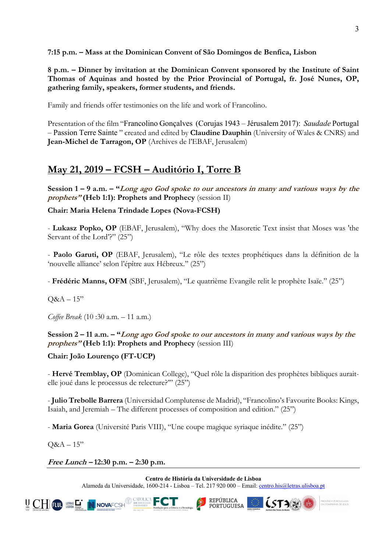**7:15 p.m. – Mass at the Dominican Convent of São Domingos de Benfica, Lisbon**

**8 p.m. – Dinner by invitation at the Dominican Convent sponsored by the Institute of Saint Thomas of Aquinas and hosted by the Prior Provincial of Portugal, fr. José Nunes, OP, gathering family, speakers, former students, and friends.**

Family and friends offer testimonies on the life and work of Francolino.

Presentation of the film "Francolino Gonçalves (Corujas 1943 – Jérusalem 2017): *Saudade* Portugal – Passion Terre Sainte " created and edited by **Claudine Dauphin** (University of Wales & CNRS) and **Jean-Michel de Tarragon, OP** (Archives de l'EBAF, Jerusalem)

# **May 21, 2019 – FCSH – Auditório I, Torre B**

**Session 1 – 9 a.m. – "Long ago God spoke to our ancestors in many and various ways by the prophets" (Heb 1:1): Prophets and Prophecy** (session II)

## **Chair: Maria Helena Trindade Lopes (Nova-FCSH)**

- **Lukasz Popko, OP** (EBAF, Jerusalem), "Why does the Masoretic Text insist that Moses was 'the Servant of the Lord'?" (25")

- **Paolo Garuti, OP** (EBAF, Jerusalem), "Le rôle des textes prophétiques dans la définition de la 'nouvelle alliance' selon l'épître aux Hébreux.'' (25")

- **Frédéric Manns, OFM** (SBF, Jerusalem), "Le quatrième Evangile relit le prophète Isaïe." (25")

 $O&A-15"$ 

*Coffee Break* (10 :30 a.m. – 11 a.m.)

**Session 2 – 11 a.m. – "Long ago God spoke to our ancestors in many and various ways by the prophets" (Heb 1:1): Prophets and Prophecy** (session III)

**Chair: João Lourenço (FT-UCP)**

- **Hervé Tremblay, OP** (Dominican College), "Quel rôle la disparition des prophètes bibliques auraitelle joué dans le processus de relecture?'" (25")

- **Julio Trebolle Barrera** (Universidad Complutense de Madrid), "Francolino's Favourite Books: Kings, Isaiah, and Jeremiah – The different processes of composition and edition." (25")

- **Maria Gorea** (Université Paris VIII), "Une coupe magique syriaque inédite." (25")

 $Q&A-15"$ 

**Free Lunch – 12:30 p.m. – 2:30 p.m.**

**Centro de História da Universidade de Lisboa** Alameda da Universidade, 1600-214 - Lisboa – Tel. 217 920 000 – Email: centro.his@letras.ulisboa.pt